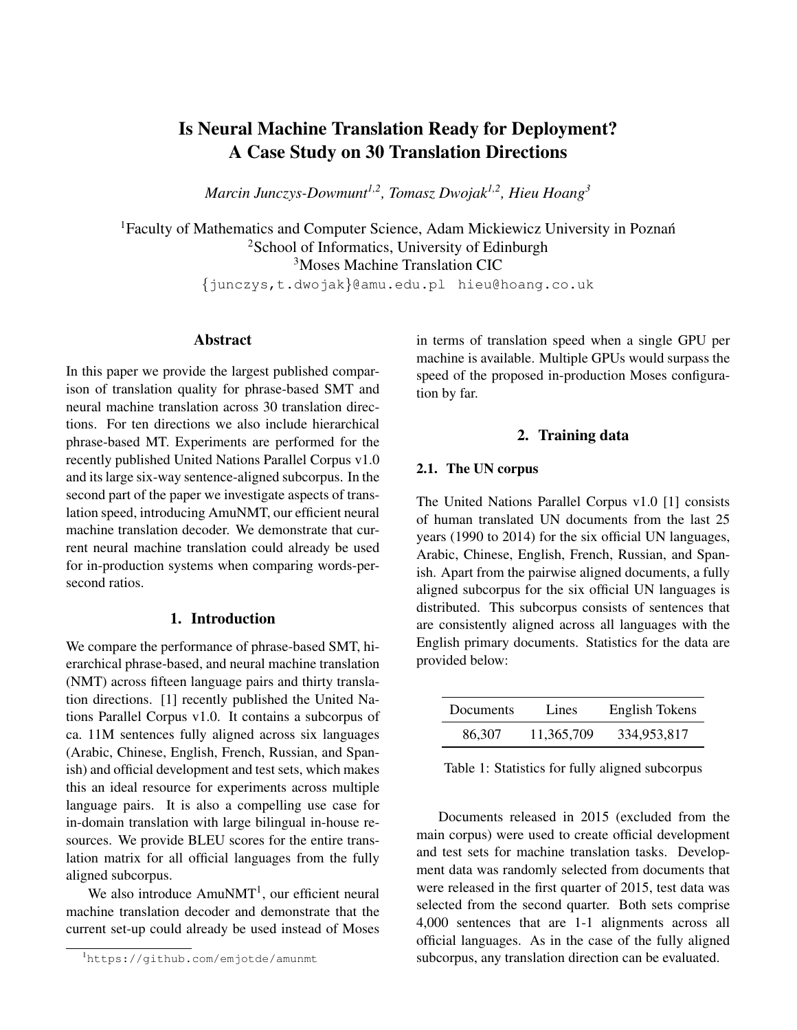# Is Neural Machine Translation Ready for Deployment? A Case Study on 30 Translation Directions

*Marcin Junczys-Dowmunt1,2, Tomasz Dwojak1,2, Hieu Hoang<sup>3</sup>*

<sup>1</sup>Faculty of Mathematics and Computer Science, Adam Mickiewicz University in Poznań <sup>2</sup>School of Informatics, University of Edinburgh <sup>3</sup>Moses Machine Translation CIC

{junczys,t.dwojak}@amu.edu.pl hieu@hoang.co.uk

# Abstract

In this paper we provide the largest published comparison of translation quality for phrase-based SMT and neural machine translation across 30 translation directions. For ten directions we also include hierarchical phrase-based MT. Experiments are performed for the recently published United Nations Parallel Corpus v1.0 and its large six-way sentence-aligned subcorpus. In the second part of the paper we investigate aspects of translation speed, introducing AmuNMT, our efficient neural machine translation decoder. We demonstrate that current neural machine translation could already be used for in-production systems when comparing words-persecond ratios.

### 1. Introduction

We compare the performance of phrase-based SMT, hierarchical phrase-based, and neural machine translation (NMT) across fifteen language pairs and thirty translation directions. [1] recently published the United Nations Parallel Corpus v1.0. It contains a subcorpus of ca. 11M sentences fully aligned across six languages (Arabic, Chinese, English, French, Russian, and Spanish) and official development and test sets, which makes this an ideal resource for experiments across multiple language pairs. It is also a compelling use case for in-domain translation with large bilingual in-house resources. We provide BLEU scores for the entire translation matrix for all official languages from the fully aligned subcorpus.

We also introduce  $AmuNMT<sup>1</sup>$ , our efficient neural machine translation decoder and demonstrate that the current set-up could already be used instead of Moses

<sup>1</sup>https://github.com/emjotde/amunmt

in terms of translation speed when a single GPU per machine is available. Multiple GPUs would surpass the speed of the proposed in-production Moses configuration by far.

### 2. Training data

# 2.1. The UN corpus

The United Nations Parallel Corpus v1.0 [1] consists of human translated UN documents from the last 25 years (1990 to 2014) for the six official UN languages, Arabic, Chinese, English, French, Russian, and Spanish. Apart from the pairwise aligned documents, a fully aligned subcorpus for the six official UN languages is distributed. This subcorpus consists of sentences that are consistently aligned across all languages with the English primary documents. Statistics for the data are provided below:

| Documents | Lines      | English Tokens |
|-----------|------------|----------------|
| 86,307    | 11.365.709 | 334,953,817    |

Table 1: Statistics for fully aligned subcorpus

Documents released in 2015 (excluded from the main corpus) were used to create official development and test sets for machine translation tasks. Development data was randomly selected from documents that were released in the first quarter of 2015, test data was selected from the second quarter. Both sets comprise 4,000 sentences that are 1-1 alignments across all official languages. As in the case of the fully aligned subcorpus, any translation direction can be evaluated.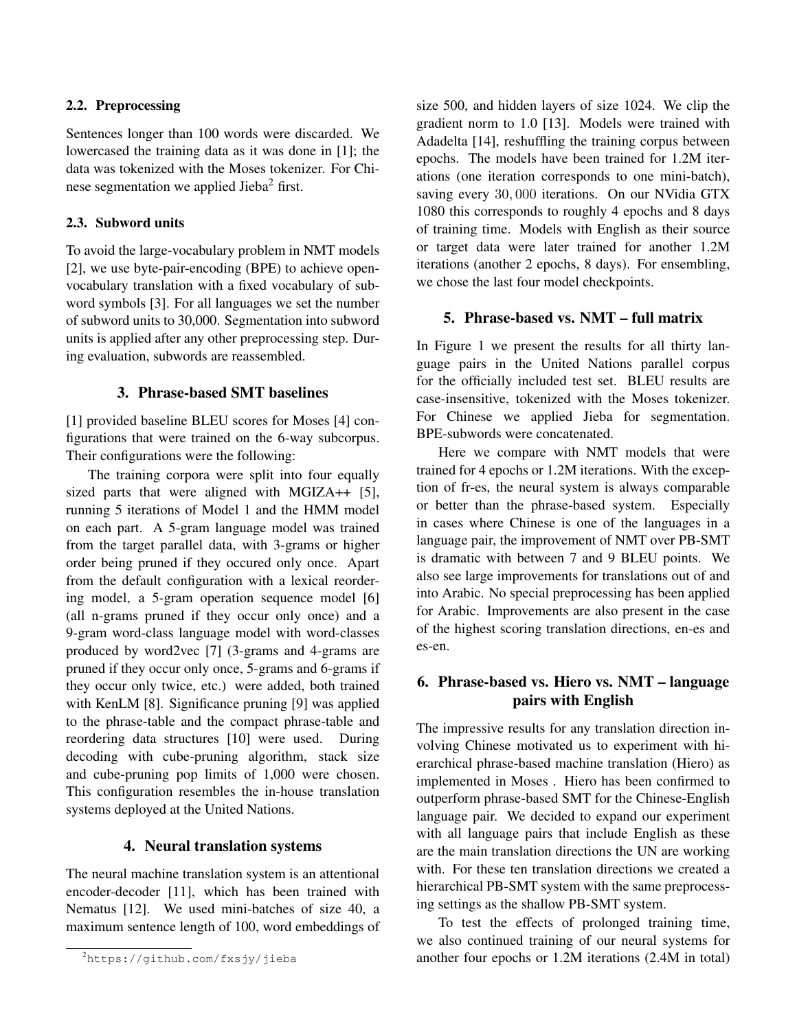# 2.2. Preprocessing

Sentences longer than 100 words were discarded. We lowercased the training data as it was done in [1]; the data was tokenized with the Moses tokenizer. For Chinese segmentation we applied Jieba<sup>2</sup> first.

# 2.3. Subword units

To avoid the large-vocabulary problem in NMT models [2], we use byte-pair-encoding (BPE) to achieve openvocabulary translation with a fixed vocabulary of subword symbols [3]. For all languages we set the number of subword units to 30,000. Segmentation into subword units is applied after any other preprocessing step. During evaluation, subwords are reassembled.

# 3. Phrase-based SMT baselines

[1] provided baseline BLEU scores for Moses [4] configurations that were trained on the 6-way subcorpus. Their configurations were the following:

The training corpora were split into four equally sized parts that were aligned with MGIZA++ [5], running 5 iterations of Model 1 and the HMM model on each part. A 5-gram language model was trained from the target parallel data, with 3-grams or higher order being pruned if they occured only once. Apart from the default configuration with a lexical reordering model, a 5-gram operation sequence model [6] (all n-grams pruned if they occur only once) and a 9-gram word-class language model with word-classes produced by word2vec [7] (3-grams and 4-grams are pruned if they occur only once, 5-grams and 6-grams if they occur only twice, etc.) were added, both trained with KenLM [8]. Significance pruning [9] was applied to the phrase-table and the compact phrase-table and reordering data structures [10] were used. During decoding with cube-pruning algorithm, stack size and cube-pruning pop limits of 1,000 were chosen. This configuration resembles the in-house translation systems deployed at the United Nations.

# 4. Neural translation systems

The neural machine translation system is an attentional encoder-decoder [11], which has been trained with Nematus [12]. We used mini-batches of size 40, a maximum sentence length of 100, word embeddings of

size 500, and hidden layers of size 1024. We clip the gradient norm to 1.0 [13]. Models were trained with Adadelta [14], reshuffling the training corpus between epochs. The models have been trained for 1.2M iterations (one iteration corresponds to one mini-batch), saving every 30, 000 iterations. On our NVidia GTX 1080 this corresponds to roughly 4 epochs and 8 days of training time. Models with English as their source or target data were later trained for another 1.2M iterations (another 2 epochs, 8 days). For ensembling, we chose the last four model checkpoints.

## 5. Phrase-based vs. NMT – full matrix

In Figure 1 we present the results for all thirty language pairs in the United Nations parallel corpus for the officially included test set. BLEU results are case-insensitive, tokenized with the Moses tokenizer. For Chinese we applied Jieba for segmentation. BPE-subwords were concatenated.

Here we compare with NMT models that were trained for 4 epochs or 1.2M iterations. With the exception of fr-es, the neural system is always comparable or better than the phrase-based system. Especially in cases where Chinese is one of the languages in a language pair, the improvement of NMT over PB-SMT is dramatic with between 7 and 9 BLEU points. We also see large improvements for translations out of and into Arabic. No special preprocessing has been applied for Arabic. Improvements are also present in the case of the highest scoring translation directions, en-es and es-en.

# 6. Phrase-based vs. Hiero vs. NMT – language pairs with English

The impressive results for any translation direction involving Chinese motivated us to experiment with hierarchical phrase-based machine translation (Hiero) as implemented in Moses . Hiero has been confirmed to outperform phrase-based SMT for the Chinese-English language pair. We decided to expand our experiment with all language pairs that include English as these are the main translation directions the UN are working with. For these ten translation directions we created a hierarchical PB-SMT system with the same preprocessing settings as the shallow PB-SMT system.

To test the effects of prolonged training time, we also continued training of our neural systems for another four epochs or 1.2M iterations (2.4M in total)

<sup>2</sup>https://github.com/fxsjy/jieba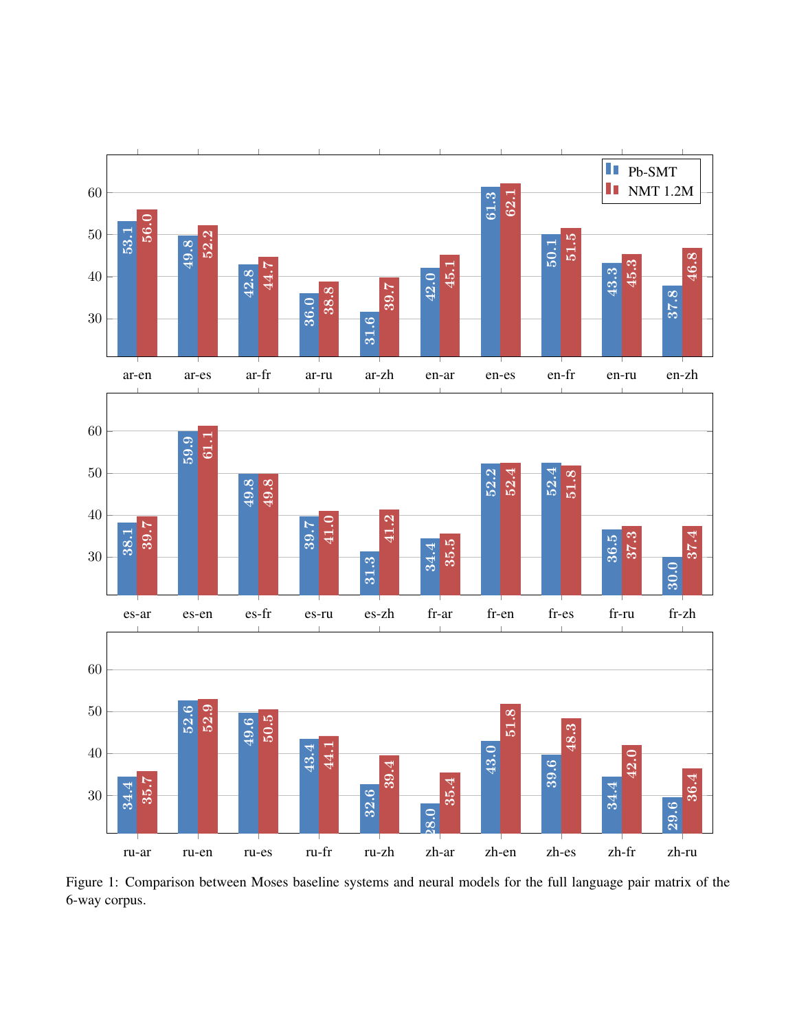

Figure 1: Comparison between Moses baseline systems and neural models for the full language pair matrix of the 6-way corpus.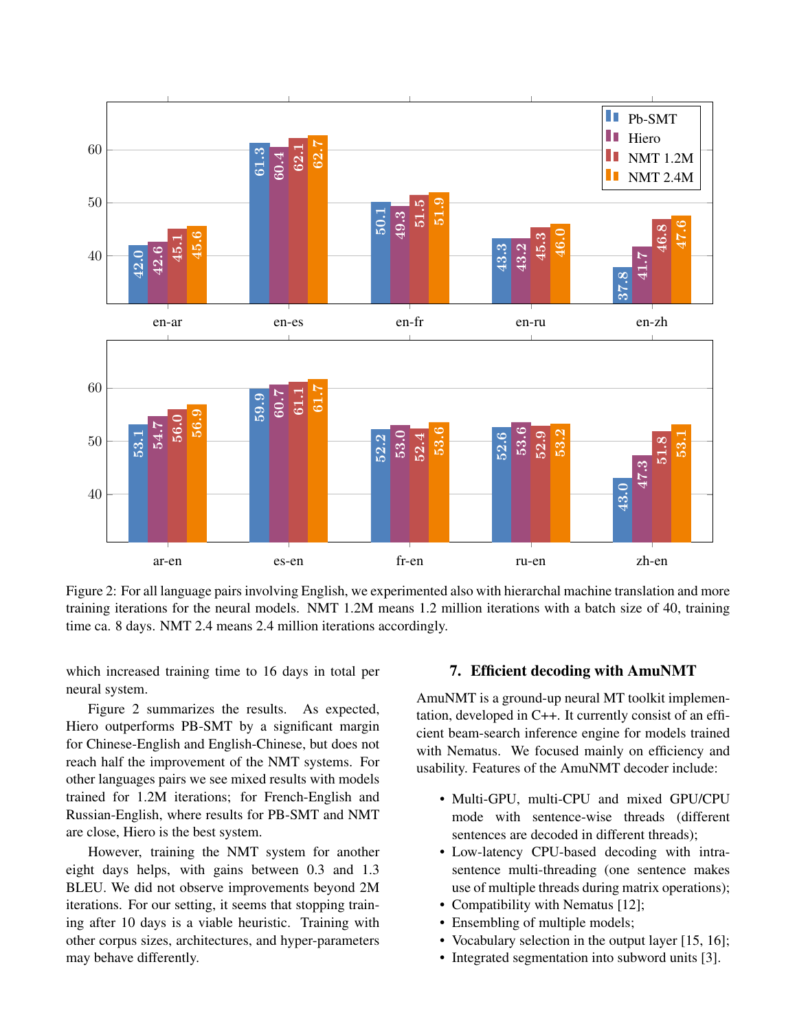

Figure 2: For all language pairs involving English, we experimented also with hierarchal machine translation and more training iterations for the neural models. NMT 1.2M means 1.2 million iterations with a batch size of 40, training time ca. 8 days. NMT 2.4 means 2.4 million iterations accordingly.

which increased training time to 16 days in total per neural system.

Figure 2 summarizes the results. As expected, Hiero outperforms PB-SMT by a significant margin for Chinese-English and English-Chinese, but does not reach half the improvement of the NMT systems. For other languages pairs we see mixed results with models trained for 1.2M iterations; for French-English and Russian-English, where results for PB-SMT and NMT are close, Hiero is the best system.

However, training the NMT system for another eight days helps, with gains between 0.3 and 1.3 BLEU. We did not observe improvements beyond 2M iterations. For our setting, it seems that stopping training after 10 days is a viable heuristic. Training with other corpus sizes, architectures, and hyper-parameters may behave differently.

### 7. Efficient decoding with AmuNMT

AmuNMT is a ground-up neural MT toolkit implementation, developed in C++. It currently consist of an efficient beam-search inference engine for models trained with Nematus. We focused mainly on efficiency and usability. Features of the AmuNMT decoder include:

- Multi-GPU, multi-CPU and mixed GPU/CPU mode with sentence-wise threads (different sentences are decoded in different threads);
- Low-latency CPU-based decoding with intrasentence multi-threading (one sentence makes use of multiple threads during matrix operations);
- Compatibility with Nematus [12];
- Ensembling of multiple models;
- Vocabulary selection in the output layer [15, 16];
- Integrated segmentation into subword units [3].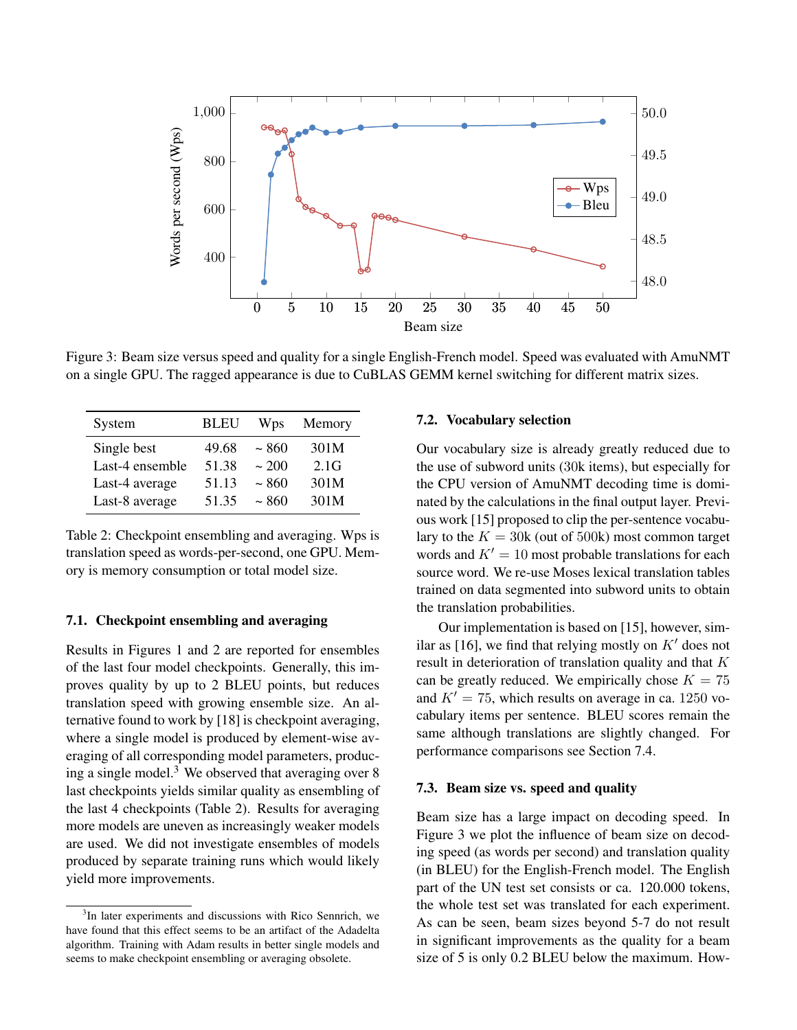

Figure 3: Beam size versus speed and quality for a single English-French model. Speed was evaluated with AmuNMT on a single GPU. The ragged appearance is due to CuBLAS GEMM kernel switching for different matrix sizes.

| System          | <b>BLEU</b> | Wps    | Memory |
|-----------------|-------------|--------|--------|
| Single best     | 49.68       | ~1.860 | 301M   |
| Last-4 ensemble | 51.38       | ~200   | 2.1G   |
| Last-4 average  | 51.13       | ~1.860 | 301M   |
| Last-8 average  | 51.35       | ~1.860 | 301M   |

Table 2: Checkpoint ensembling and averaging. Wps is translation speed as words-per-second, one GPU. Memory is memory consumption or total model size.

### 7.1. Checkpoint ensembling and averaging

Results in Figures 1 and 2 are reported for ensembles of the last four model checkpoints. Generally, this improves quality by up to 2 BLEU points, but reduces translation speed with growing ensemble size. An alternative found to work by [18] is checkpoint averaging, where a single model is produced by element-wise averaging of all corresponding model parameters, producing a single model.<sup>3</sup> We observed that averaging over  $8$ last checkpoints yields similar quality as ensembling of the last 4 checkpoints (Table 2). Results for averaging more models are uneven as increasingly weaker models are used. We did not investigate ensembles of models produced by separate training runs which would likely yield more improvements.

### 7.2. Vocabulary selection

Our vocabulary size is already greatly reduced due to the use of subword units (30k items), but especially for the CPU version of AmuNMT decoding time is dominated by the calculations in the final output layer. Previous work [15] proposed to clip the per-sentence vocabulary to the  $K = 30k$  (out of 500k) most common target words and  $K' = 10$  most probable translations for each source word. We re-use Moses lexical translation tables trained on data segmented into subword units to obtain the translation probabilities.

Our implementation is based on [15], however, similar as [16], we find that relying mostly on  $K'$  does not result in deterioration of translation quality and that K can be greatly reduced. We empirically chose  $K = 75$ and  $K' = 75$ , which results on average in ca. 1250 vocabulary items per sentence. BLEU scores remain the same although translations are slightly changed. For performance comparisons see Section 7.4.

#### 7.3. Beam size vs. speed and quality

Beam size has a large impact on decoding speed. In Figure 3 we plot the influence of beam size on decoding speed (as words per second) and translation quality (in BLEU) for the English-French model. The English part of the UN test set consists or ca. 120.000 tokens, the whole test set was translated for each experiment. As can be seen, beam sizes beyond 5-7 do not result in significant improvements as the quality for a beam size of 5 is only 0.2 BLEU below the maximum. How-

<sup>&</sup>lt;sup>3</sup>In later experiments and discussions with Rico Sennrich, we have found that this effect seems to be an artifact of the Adadelta algorithm. Training with Adam results in better single models and seems to make checkpoint ensembling or averaging obsolete.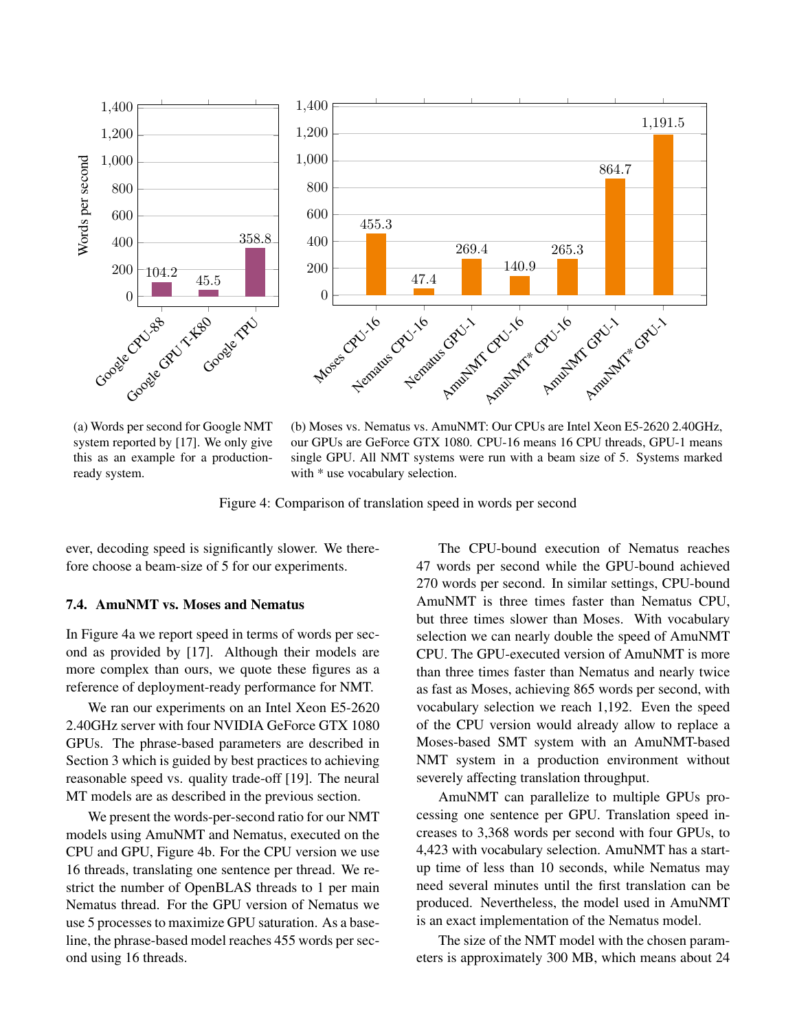

(a) Words per second for Google NMT system reported by [17]. We only give this as an example for a productionready system.

(b) Moses vs. Nematus vs. AmuNMT: Our CPUs are Intel Xeon E5-2620 2.40GHz, our GPUs are GeForce GTX 1080. CPU-16 means 16 CPU threads, GPU-1 means single GPU. All NMT systems were run with a beam size of 5. Systems marked with  $*$  use vocabulary selection.

Figure 4: Comparison of translation speed in words per second

ever, decoding speed is significantly slower. We therefore choose a beam-size of 5 for our experiments.

### 7.4. AmuNMT vs. Moses and Nematus

In Figure 4a we report speed in terms of words per second as provided by [17]. Although their models are more complex than ours, we quote these figures as a reference of deployment-ready performance for NMT.

We ran our experiments on an Intel Xeon E5-2620 2.40GHz server with four NVIDIA GeForce GTX 1080 GPUs. The phrase-based parameters are described in Section 3 which is guided by best practices to achieving reasonable speed vs. quality trade-off [19]. The neural MT models are as described in the previous section.

We present the words-per-second ratio for our NMT models using AmuNMT and Nematus, executed on the CPU and GPU, Figure 4b. For the CPU version we use 16 threads, translating one sentence per thread. We restrict the number of OpenBLAS threads to 1 per main Nematus thread. For the GPU version of Nematus we use 5 processes to maximize GPU saturation. As a baseline, the phrase-based model reaches 455 words per second using 16 threads.

The CPU-bound execution of Nematus reaches 47 words per second while the GPU-bound achieved 270 words per second. In similar settings, CPU-bound AmuNMT is three times faster than Nematus CPU, but three times slower than Moses. With vocabulary selection we can nearly double the speed of AmuNMT CPU. The GPU-executed version of AmuNMT is more than three times faster than Nematus and nearly twice as fast as Moses, achieving 865 words per second, with vocabulary selection we reach 1,192. Even the speed of the CPU version would already allow to replace a Moses-based SMT system with an AmuNMT-based NMT system in a production environment without severely affecting translation throughput.

AmuNMT can parallelize to multiple GPUs processing one sentence per GPU. Translation speed increases to 3,368 words per second with four GPUs, to 4,423 with vocabulary selection. AmuNMT has a startup time of less than 10 seconds, while Nematus may need several minutes until the first translation can be produced. Nevertheless, the model used in AmuNMT is an exact implementation of the Nematus model.

The size of the NMT model with the chosen parameters is approximately 300 MB, which means about 24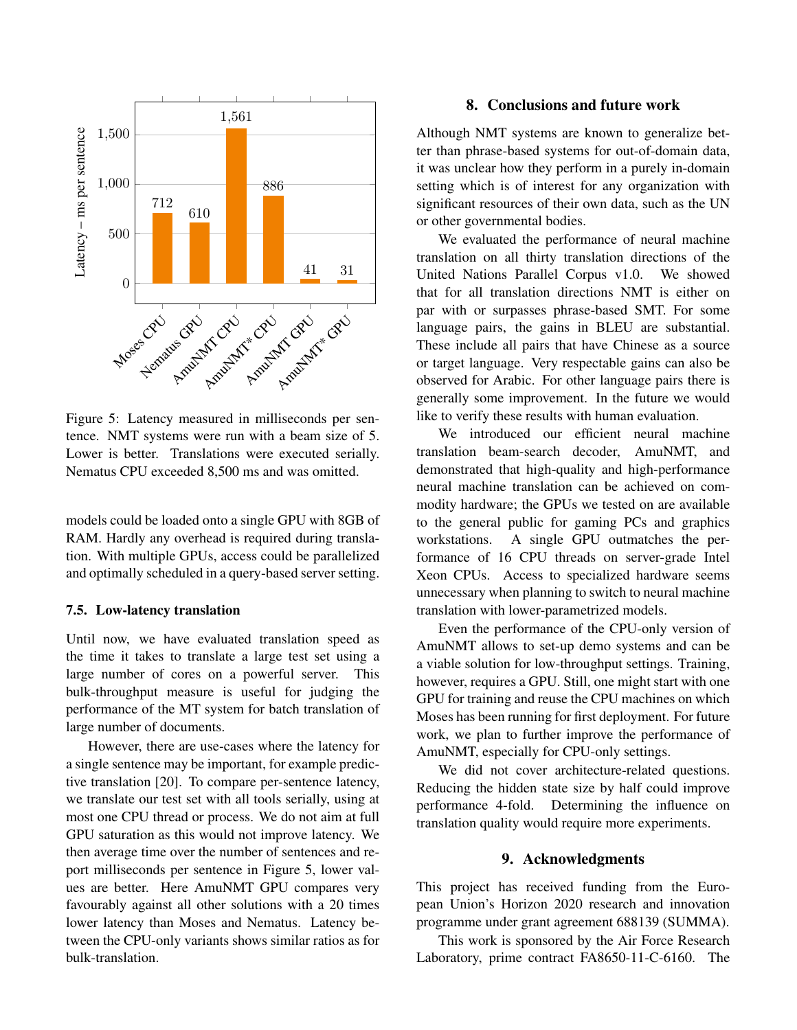

Figure 5: Latency measured in milliseconds per sentence. NMT systems were run with a beam size of 5. Lower is better. Translations were executed serially. Nematus CPU exceeded 8,500 ms and was omitted.

models could be loaded onto a single GPU with 8GB of RAM. Hardly any overhead is required during translation. With multiple GPUs, access could be parallelized and optimally scheduled in a query-based server setting.

# 7.5. Low-latency translation

Until now, we have evaluated translation speed as the time it takes to translate a large test set using a large number of cores on a powerful server. This bulk-throughput measure is useful for judging the performance of the MT system for batch translation of large number of documents.

However, there are use-cases where the latency for a single sentence may be important, for example predictive translation [20]. To compare per-sentence latency, we translate our test set with all tools serially, using at most one CPU thread or process. We do not aim at full GPU saturation as this would not improve latency. We then average time over the number of sentences and report milliseconds per sentence in Figure 5, lower values are better. Here AmuNMT GPU compares very favourably against all other solutions with a 20 times lower latency than Moses and Nematus. Latency between the CPU-only variants shows similar ratios as for bulk-translation.

# 8. Conclusions and future work

Although NMT systems are known to generalize better than phrase-based systems for out-of-domain data, it was unclear how they perform in a purely in-domain setting which is of interest for any organization with significant resources of their own data, such as the UN or other governmental bodies.

We evaluated the performance of neural machine translation on all thirty translation directions of the United Nations Parallel Corpus v1.0. We showed that for all translation directions NMT is either on par with or surpasses phrase-based SMT. For some language pairs, the gains in BLEU are substantial. These include all pairs that have Chinese as a source or target language. Very respectable gains can also be observed for Arabic. For other language pairs there is generally some improvement. In the future we would like to verify these results with human evaluation.

We introduced our efficient neural machine translation beam-search decoder, AmuNMT, and demonstrated that high-quality and high-performance neural machine translation can be achieved on commodity hardware; the GPUs we tested on are available to the general public for gaming PCs and graphics workstations. A single GPU outmatches the performance of 16 CPU threads on server-grade Intel Xeon CPUs. Access to specialized hardware seems unnecessary when planning to switch to neural machine translation with lower-parametrized models.

Even the performance of the CPU-only version of AmuNMT allows to set-up demo systems and can be a viable solution for low-throughput settings. Training, however, requires a GPU. Still, one might start with one GPU for training and reuse the CPU machines on which Moses has been running for first deployment. For future work, we plan to further improve the performance of AmuNMT, especially for CPU-only settings.

We did not cover architecture-related questions. Reducing the hidden state size by half could improve performance 4-fold. Determining the influence on translation quality would require more experiments.

# 9. Acknowledgments

This project has received funding from the European Union's Horizon 2020 research and innovation programme under grant agreement 688139 (SUMMA).

This work is sponsored by the Air Force Research Laboratory, prime contract FA8650-11-C-6160. The